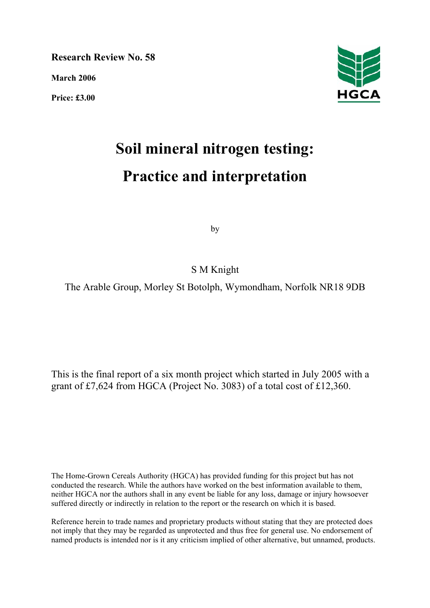**Research Review No. 58** 

**March 2006** 

**Price: £3.00** 



# **Soil mineral nitrogen testing: Practice and interpretation**

by

S M Knight

The Arable Group, Morley St Botolph, Wymondham, Norfolk NR18 9DB

This is the final report of a six month project which started in July 2005 with a grant of £7,624 from HGCA (Project No. 3083) of a total cost of £12,360.

The Home-Grown Cereals Authority (HGCA) has provided funding for this project but has not conducted the research. While the authors have worked on the best information available to them, neither HGCA nor the authors shall in any event be liable for any loss, damage or injury howsoever suffered directly or indirectly in relation to the report or the research on which it is based.

Reference herein to trade names and proprietary products without stating that they are protected does not imply that they may be regarded as unprotected and thus free for general use. No endorsement of named products is intended nor is it any criticism implied of other alternative, but unnamed, products.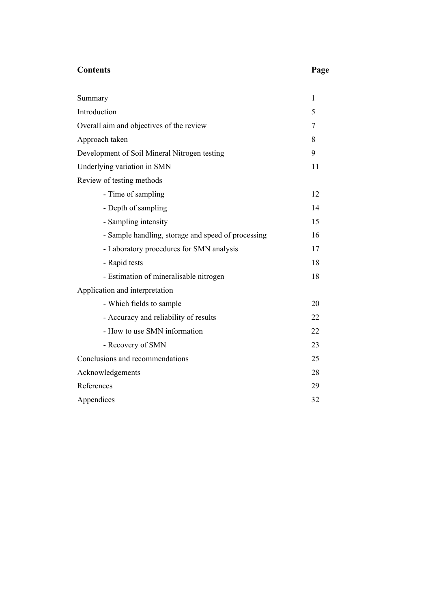# **Contents Page**

| Summary                                            | $\mathbf{1}$ |
|----------------------------------------------------|--------------|
| Introduction                                       | 5            |
| Overall aim and objectives of the review           | 7            |
| Approach taken                                     | 8            |
| Development of Soil Mineral Nitrogen testing       | 9            |
| Underlying variation in SMN                        | 11           |
| Review of testing methods                          |              |
| - Time of sampling                                 | 12           |
| - Depth of sampling                                | 14           |
| - Sampling intensity                               | 15           |
| - Sample handling, storage and speed of processing | 16           |
| - Laboratory procedures for SMN analysis           | 17           |
| - Rapid tests                                      | 18           |
| - Estimation of mineralisable nitrogen             | 18           |
| Application and interpretation                     |              |
| - Which fields to sample                           | 20           |
| - Accuracy and reliability of results              | 22           |
| - How to use SMN information                       | 22           |
| - Recovery of SMN                                  | 23           |
| Conclusions and recommendations                    | 25           |
| Acknowledgements                                   | 28           |
| References                                         | 29           |
| Appendices                                         | 32           |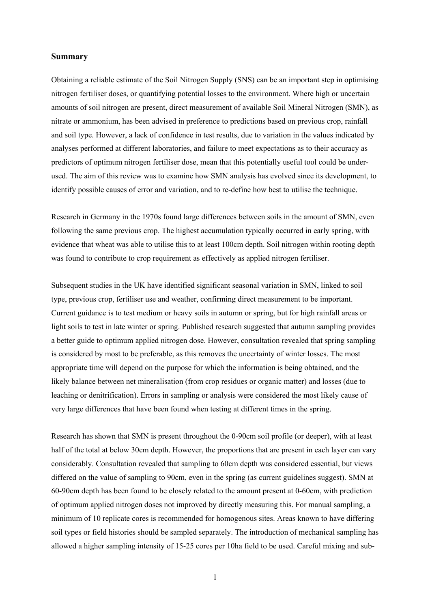#### **Summary**

Obtaining a reliable estimate of the Soil Nitrogen Supply (SNS) can be an important step in optimising nitrogen fertiliser doses, or quantifying potential losses to the environment. Where high or uncertain amounts of soil nitrogen are present, direct measurement of available Soil Mineral Nitrogen (SMN), as nitrate or ammonium, has been advised in preference to predictions based on previous crop, rainfall and soil type. However, a lack of confidence in test results, due to variation in the values indicated by analyses performed at different laboratories, and failure to meet expectations as to their accuracy as predictors of optimum nitrogen fertiliser dose, mean that this potentially useful tool could be underused. The aim of this review was to examine how SMN analysis has evolved since its development, to identify possible causes of error and variation, and to re-define how best to utilise the technique.

Research in Germany in the 1970s found large differences between soils in the amount of SMN, even following the same previous crop. The highest accumulation typically occurred in early spring, with evidence that wheat was able to utilise this to at least 100cm depth. Soil nitrogen within rooting depth was found to contribute to crop requirement as effectively as applied nitrogen fertiliser.

Subsequent studies in the UK have identified significant seasonal variation in SMN, linked to soil type, previous crop, fertiliser use and weather, confirming direct measurement to be important. Current guidance is to test medium or heavy soils in autumn or spring, but for high rainfall areas or light soils to test in late winter or spring. Published research suggested that autumn sampling provides a better guide to optimum applied nitrogen dose. However, consultation revealed that spring sampling is considered by most to be preferable, as this removes the uncertainty of winter losses. The most appropriate time will depend on the purpose for which the information is being obtained, and the likely balance between net mineralisation (from crop residues or organic matter) and losses (due to leaching or denitrification). Errors in sampling or analysis were considered the most likely cause of very large differences that have been found when testing at different times in the spring.

Research has shown that SMN is present throughout the 0-90cm soil profile (or deeper), with at least half of the total at below 30cm depth. However, the proportions that are present in each layer can vary considerably. Consultation revealed that sampling to 60cm depth was considered essential, but views differed on the value of sampling to 90cm, even in the spring (as current guidelines suggest). SMN at 60-90cm depth has been found to be closely related to the amount present at 0-60cm, with prediction of optimum applied nitrogen doses not improved by directly measuring this. For manual sampling, a minimum of 10 replicate cores is recommended for homogenous sites. Areas known to have differing soil types or field histories should be sampled separately. The introduction of mechanical sampling has allowed a higher sampling intensity of 15-25 cores per 10ha field to be used. Careful mixing and sub-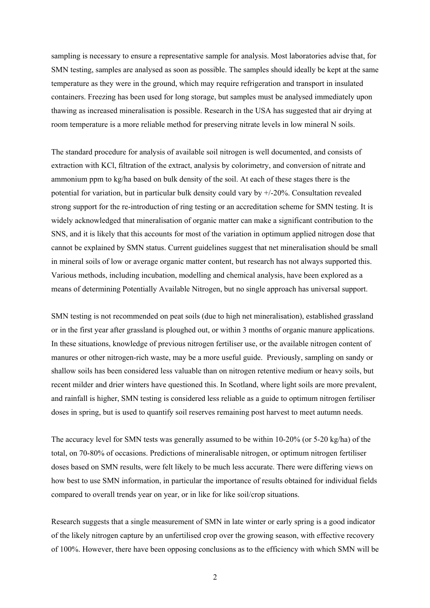sampling is necessary to ensure a representative sample for analysis. Most laboratories advise that, for SMN testing, samples are analysed as soon as possible. The samples should ideally be kept at the same temperature as they were in the ground, which may require refrigeration and transport in insulated containers. Freezing has been used for long storage, but samples must be analysed immediately upon thawing as increased mineralisation is possible. Research in the USA has suggested that air drying at room temperature is a more reliable method for preserving nitrate levels in low mineral N soils.

The standard procedure for analysis of available soil nitrogen is well documented, and consists of extraction with KCl, filtration of the extract, analysis by colorimetry, and conversion of nitrate and ammonium ppm to kg/ha based on bulk density of the soil. At each of these stages there is the potential for variation, but in particular bulk density could vary by +/-20%. Consultation revealed strong support for the re-introduction of ring testing or an accreditation scheme for SMN testing. It is widely acknowledged that mineralisation of organic matter can make a significant contribution to the SNS, and it is likely that this accounts for most of the variation in optimum applied nitrogen dose that cannot be explained by SMN status. Current guidelines suggest that net mineralisation should be small in mineral soils of low or average organic matter content, but research has not always supported this. Various methods, including incubation, modelling and chemical analysis, have been explored as a means of determining Potentially Available Nitrogen, but no single approach has universal support.

SMN testing is not recommended on peat soils (due to high net mineralisation), established grassland or in the first year after grassland is ploughed out, or within 3 months of organic manure applications. In these situations, knowledge of previous nitrogen fertiliser use, or the available nitrogen content of manures or other nitrogen-rich waste, may be a more useful guide. Previously, sampling on sandy or shallow soils has been considered less valuable than on nitrogen retentive medium or heavy soils, but recent milder and drier winters have questioned this. In Scotland, where light soils are more prevalent, and rainfall is higher, SMN testing is considered less reliable as a guide to optimum nitrogen fertiliser doses in spring, but is used to quantify soil reserves remaining post harvest to meet autumn needs.

The accuracy level for SMN tests was generally assumed to be within 10-20% (or 5-20 kg/ha) of the total, on 70-80% of occasions. Predictions of mineralisable nitrogen, or optimum nitrogen fertiliser doses based on SMN results, were felt likely to be much less accurate. There were differing views on how best to use SMN information, in particular the importance of results obtained for individual fields compared to overall trends year on year, or in like for like soil/crop situations.

Research suggests that a single measurement of SMN in late winter or early spring is a good indicator of the likely nitrogen capture by an unfertilised crop over the growing season, with effective recovery of 100%. However, there have been opposing conclusions as to the efficiency with which SMN will be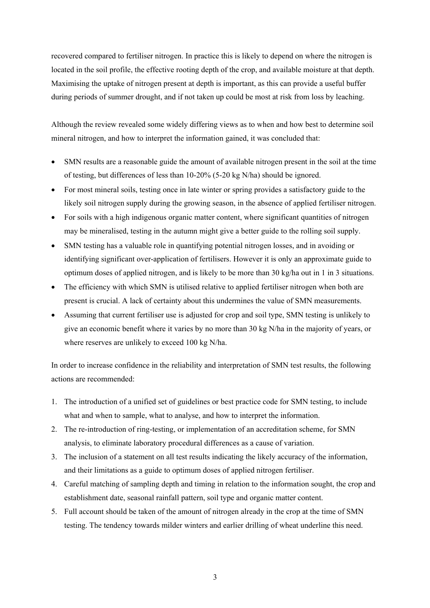recovered compared to fertiliser nitrogen. In practice this is likely to depend on where the nitrogen is located in the soil profile, the effective rooting depth of the crop, and available moisture at that depth. Maximising the uptake of nitrogen present at depth is important, as this can provide a useful buffer during periods of summer drought, and if not taken up could be most at risk from loss by leaching.

Although the review revealed some widely differing views as to when and how best to determine soil mineral nitrogen, and how to interpret the information gained, it was concluded that:

- SMN results are a reasonable guide the amount of available nitrogen present in the soil at the time of testing, but differences of less than 10-20% (5-20 kg N/ha) should be ignored.
- For most mineral soils, testing once in late winter or spring provides a satisfactory guide to the likely soil nitrogen supply during the growing season, in the absence of applied fertiliser nitrogen.
- For soils with a high indigenous organic matter content, where significant quantities of nitrogen may be mineralised, testing in the autumn might give a better guide to the rolling soil supply.
- SMN testing has a valuable role in quantifying potential nitrogen losses, and in avoiding or identifying significant over-application of fertilisers. However it is only an approximate guide to optimum doses of applied nitrogen, and is likely to be more than 30 kg/ha out in 1 in 3 situations.
- The efficiency with which SMN is utilised relative to applied fertiliser nitrogen when both are present is crucial. A lack of certainty about this undermines the value of SMN measurements.
- Assuming that current fertiliser use is adjusted for crop and soil type, SMN testing is unlikely to give an economic benefit where it varies by no more than 30 kg N/ha in the majority of years, or where reserves are unlikely to exceed 100 kg N/ha.

In order to increase confidence in the reliability and interpretation of SMN test results, the following actions are recommended:

- 1. The introduction of a unified set of guidelines or best practice code for SMN testing, to include what and when to sample, what to analyse, and how to interpret the information.
- 2. The re-introduction of ring-testing, or implementation of an accreditation scheme, for SMN analysis, to eliminate laboratory procedural differences as a cause of variation.
- 3. The inclusion of a statement on all test results indicating the likely accuracy of the information, and their limitations as a guide to optimum doses of applied nitrogen fertiliser.
- 4. Careful matching of sampling depth and timing in relation to the information sought, the crop and establishment date, seasonal rainfall pattern, soil type and organic matter content.
- 5. Full account should be taken of the amount of nitrogen already in the crop at the time of SMN testing. The tendency towards milder winters and earlier drilling of wheat underline this need.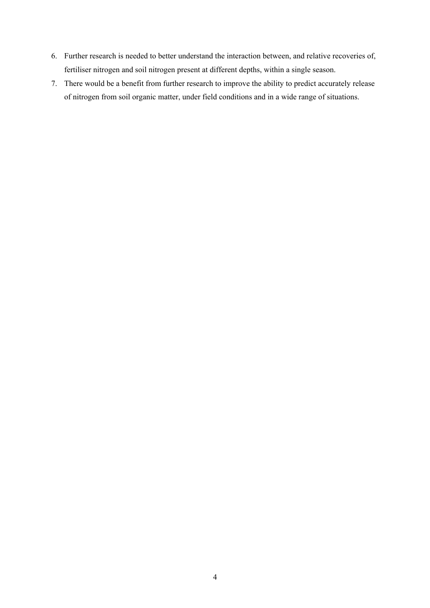- 6. Further research is needed to better understand the interaction between, and relative recoveries of, fertiliser nitrogen and soil nitrogen present at different depths, within a single season.
- 7. There would be a benefit from further research to improve the ability to predict accurately release of nitrogen from soil organic matter, under field conditions and in a wide range of situations.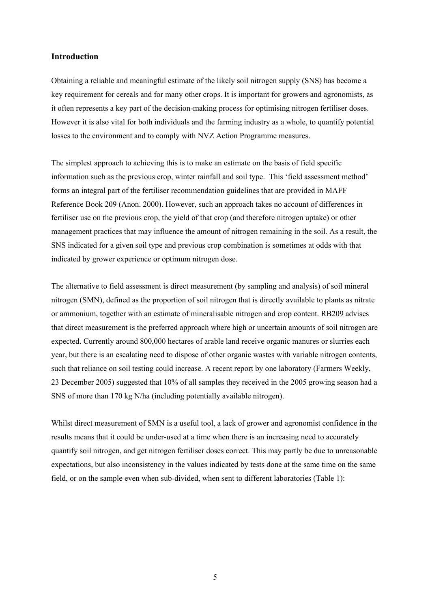#### **Introduction**

Obtaining a reliable and meaningful estimate of the likely soil nitrogen supply (SNS) has become a key requirement for cereals and for many other crops. It is important for growers and agronomists, as it often represents a key part of the decision-making process for optimising nitrogen fertiliser doses. However it is also vital for both individuals and the farming industry as a whole, to quantify potential losses to the environment and to comply with NVZ Action Programme measures.

The simplest approach to achieving this is to make an estimate on the basis of field specific information such as the previous crop, winter rainfall and soil type. This 'field assessment method' forms an integral part of the fertiliser recommendation guidelines that are provided in MAFF Reference Book 209 (Anon. 2000). However, such an approach takes no account of differences in fertiliser use on the previous crop, the yield of that crop (and therefore nitrogen uptake) or other management practices that may influence the amount of nitrogen remaining in the soil. As a result, the SNS indicated for a given soil type and previous crop combination is sometimes at odds with that indicated by grower experience or optimum nitrogen dose.

The alternative to field assessment is direct measurement (by sampling and analysis) of soil mineral nitrogen (SMN), defined as the proportion of soil nitrogen that is directly available to plants as nitrate or ammonium, together with an estimate of mineralisable nitrogen and crop content. RB209 advises that direct measurement is the preferred approach where high or uncertain amounts of soil nitrogen are expected. Currently around 800,000 hectares of arable land receive organic manures or slurries each year, but there is an escalating need to dispose of other organic wastes with variable nitrogen contents, such that reliance on soil testing could increase. A recent report by one laboratory (Farmers Weekly, 23 December 2005) suggested that 10% of all samples they received in the 2005 growing season had a SNS of more than 170 kg N/ha (including potentially available nitrogen).

Whilst direct measurement of SMN is a useful tool, a lack of grower and agronomist confidence in the results means that it could be under-used at a time when there is an increasing need to accurately quantify soil nitrogen, and get nitrogen fertiliser doses correct. This may partly be due to unreasonable expectations, but also inconsistency in the values indicated by tests done at the same time on the same field, or on the sample even when sub-divided, when sent to different laboratories (Table 1):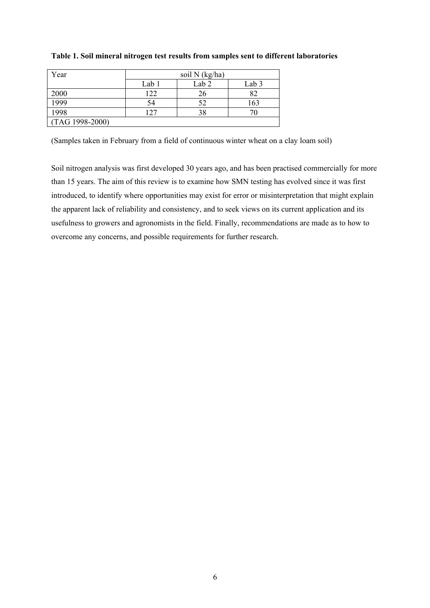| Year            | soil N (kg/ha) |                  |       |
|-----------------|----------------|------------------|-------|
|                 | Lab 1          | Lab <sub>2</sub> | Lab 3 |
| 2000            | 122            | 26               | 82    |
| 1999            | 54             | 52               | 163   |
| 1998            | 127            | 38               |       |
| (TAG 1998-2000) |                |                  |       |

#### **Table 1. Soil mineral nitrogen test results from samples sent to different laboratories**

(Samples taken in February from a field of continuous winter wheat on a clay loam soil)

Soil nitrogen analysis was first developed 30 years ago, and has been practised commercially for more than 15 years. The aim of this review is to examine how SMN testing has evolved since it was first introduced, to identify where opportunities may exist for error or misinterpretation that might explain the apparent lack of reliability and consistency, and to seek views on its current application and its usefulness to growers and agronomists in the field. Finally, recommendations are made as to how to overcome any concerns, and possible requirements for further research.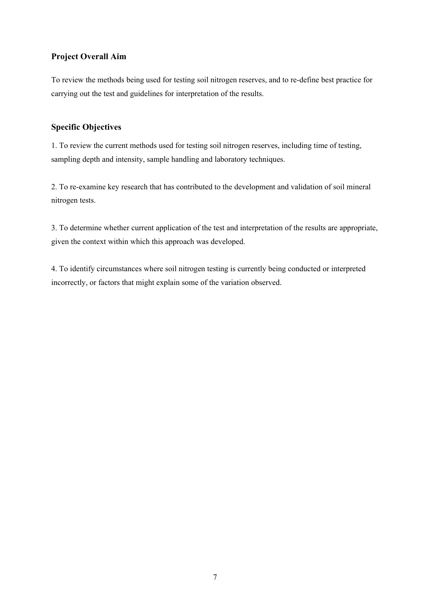# **Project Overall Aim**

To review the methods being used for testing soil nitrogen reserves, and to re-define best practice for carrying out the test and guidelines for interpretation of the results.

### **Specific Objectives**

1. To review the current methods used for testing soil nitrogen reserves, including time of testing, sampling depth and intensity, sample handling and laboratory techniques.

2. To re-examine key research that has contributed to the development and validation of soil mineral nitrogen tests.

3. To determine whether current application of the test and interpretation of the results are appropriate, given the context within which this approach was developed.

4. To identify circumstances where soil nitrogen testing is currently being conducted or interpreted incorrectly, or factors that might explain some of the variation observed.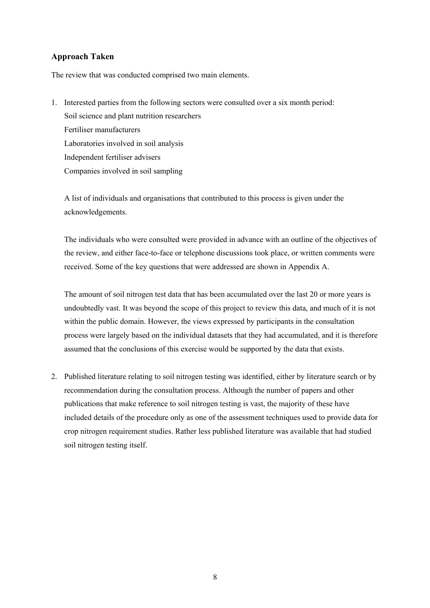# **Approach Taken**

The review that was conducted comprised two main elements.

1. Interested parties from the following sectors were consulted over a six month period: Soil science and plant nutrition researchers Fertiliser manufacturers Laboratories involved in soil analysis Independent fertiliser advisers Companies involved in soil sampling

 A list of individuals and organisations that contributed to this process is given under the acknowledgements.

 The individuals who were consulted were provided in advance with an outline of the objectives of the review, and either face-to-face or telephone discussions took place, or written comments were received. Some of the key questions that were addressed are shown in Appendix A.

 The amount of soil nitrogen test data that has been accumulated over the last 20 or more years is undoubtedly vast. It was beyond the scope of this project to review this data, and much of it is not within the public domain. However, the views expressed by participants in the consultation process were largely based on the individual datasets that they had accumulated, and it is therefore assumed that the conclusions of this exercise would be supported by the data that exists.

2. Published literature relating to soil nitrogen testing was identified, either by literature search or by recommendation during the consultation process. Although the number of papers and other publications that make reference to soil nitrogen testing is vast, the majority of these have included details of the procedure only as one of the assessment techniques used to provide data for crop nitrogen requirement studies. Rather less published literature was available that had studied soil nitrogen testing itself.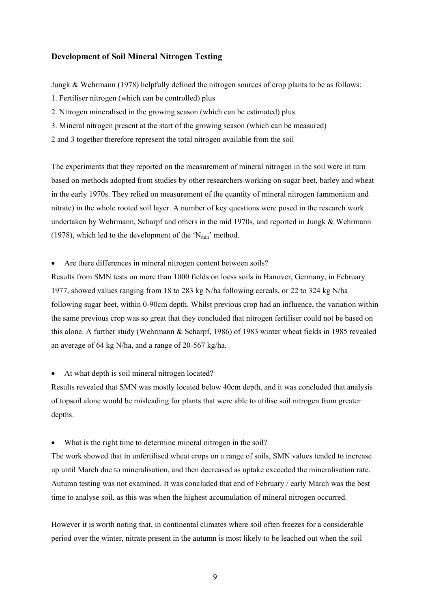#### **Development of Soil Mineral Nitrogen Testing**

Jungk & Wehrmann (1978) helpfully defined the nitrogen sources of crop plants to be as follows:

- 1. Fertiliser nitrogen (which can be controlled) plus
- 2. Nitrogen mineralised in the growing season (which can be estimated) plus
- 3. Mineral nitrogen present at the start of the growing season (which can be measured)
- 2 and 3 together therefore represent the total nitrogen available from the soil

The experiments that they reported on the measurement of mineral nitrogen in the soil were in turn based on methods adopted from studies by other researchers working on sugar beet, barley and wheat in the early 1970s. They relied on measurement of the quantity of mineral nitrogen (ammonium and nitrate) in the whole rooted soil layer. A number of key questions were posed in the research work undertaken by Wehrmann, Scharpf and others in the mid 1970s, and reported in Jungk & Wehrmann (1978), which led to the development of the ' $N_{\text{min}}$ ' method.

• Are there differences in mineral nitrogen content between soils?

Results from SMN tests on more than 1000 fields on loess soils in Hanover, Germany, in February 1977, showed values ranging from 18 to 283 kg N/ha following cereals, or 22 to 324 kg N/ha following sugar beet, within 0-90cm depth. Whilst previous crop had an influence, the variation within the same previous crop was so great that they concluded that nitrogen fertiliser could not be based on this alone. A further study (Wehrmann & Scharpf, 1986) of 1983 winter wheat fields in 1985 revealed an average of 64 kg N/ha, and a range of 20-567 kg/ha.

• At what depth is soil mineral nitrogen located?

Results revealed that SMN was mostly located below 40cm depth, and it was concluded that analysis of topsoil alone would be misleading for plants that were able to utilise soil nitrogen from greater depths.

• What is the right time to determine mineral nitrogen in the soil?

The work showed that in unfertilised wheat crops on a range of soils, SMN values tended to increase up until March due to mineralisation, and then decreased as uptake exceeded the mineralisation rate. Autumn testing was not examined. It was concluded that end of February / early March was the best time to analyse soil, as this was when the highest accumulation of mineral nitrogen occurred.

However it is worth noting that, in continental climates where soil often freezes for a considerable period over the winter, nitrate present in the autumn is most likely to be leached out when the soil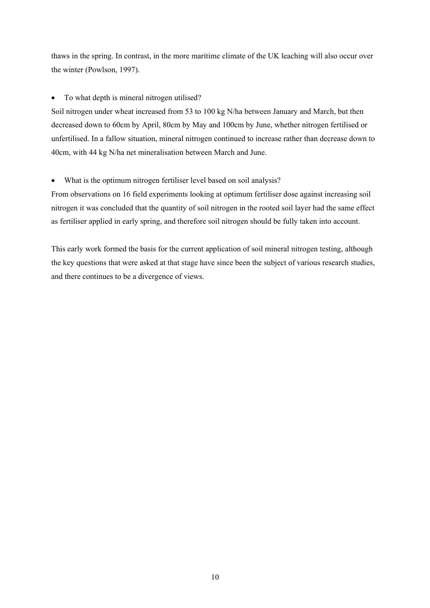thaws in the spring. In contrast, in the more maritime climate of the UK leaching will also occur over the winter (Powlson, 1997).

• To what depth is mineral nitrogen utilised?

Soil nitrogen under wheat increased from 53 to 100 kg N/ha between January and March, but then decreased down to 60cm by April, 80cm by May and 100cm by June, whether nitrogen fertilised or unfertilised. In a fallow situation, mineral nitrogen continued to increase rather than decrease down to 40cm, with 44 kg N/ha net mineralisation between March and June.

• What is the optimum nitrogen fertiliser level based on soil analysis?

From observations on 16 field experiments looking at optimum fertiliser dose against increasing soil nitrogen it was concluded that the quantity of soil nitrogen in the rooted soil layer had the same effect as fertiliser applied in early spring, and therefore soil nitrogen should be fully taken into account.

This early work formed the basis for the current application of soil mineral nitrogen testing, although the key questions that were asked at that stage have since been the subject of various research studies, and there continues to be a divergence of views.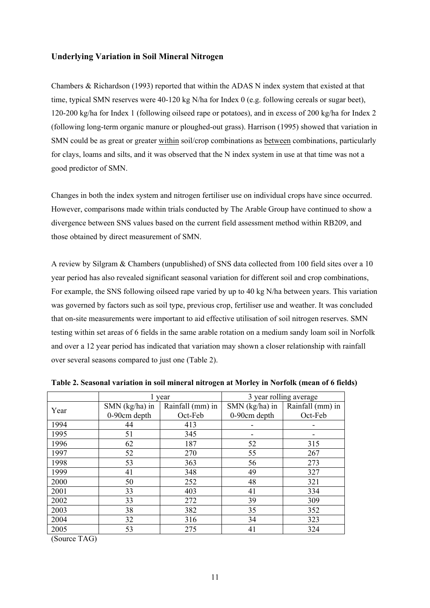#### **Underlying Variation in Soil Mineral Nitrogen**

Chambers & Richardson (1993) reported that within the ADAS N index system that existed at that time, typical SMN reserves were 40-120 kg N/ha for Index 0 (e.g. following cereals or sugar beet), 120-200 kg/ha for Index 1 (following oilseed rape or potatoes), and in excess of 200 kg/ha for Index 2 (following long-term organic manure or ploughed-out grass). Harrison (1995) showed that variation in SMN could be as great or greater within soil/crop combinations as between combinations, particularly for clays, loams and silts, and it was observed that the N index system in use at that time was not a good predictor of SMN.

Changes in both the index system and nitrogen fertiliser use on individual crops have since occurred. However, comparisons made within trials conducted by The Arable Group have continued to show a divergence between SNS values based on the current field assessment method within RB209, and those obtained by direct measurement of SMN.

A review by Silgram & Chambers (unpublished) of SNS data collected from 100 field sites over a 10 year period has also revealed significant seasonal variation for different soil and crop combinations, For example, the SNS following oilseed rape varied by up to 40 kg N/ha between years. This variation was governed by factors such as soil type, previous crop, fertiliser use and weather. It was concluded that on-site measurements were important to aid effective utilisation of soil nitrogen reserves. SMN testing within set areas of 6 fields in the same arable rotation on a medium sandy loam soil in Norfolk and over a 12 year period has indicated that variation may shown a closer relationship with rainfall over several seasons compared to just one (Table 2).

|      |                | year             | 3 year rolling average |                  |  |
|------|----------------|------------------|------------------------|------------------|--|
| Year | SMN (kg/ha) in | Rainfall (mm) in | SMN (kg/ha) in         | Rainfall (mm) in |  |
|      | 0-90cm depth   | Oct-Feb          | 0-90cm depth           | Oct-Feb          |  |
| 1994 | 44             | 413              |                        |                  |  |
| 1995 | 51             | 345              |                        |                  |  |
| 1996 | 62             | 187              | 52                     | 315              |  |
| 1997 | 52             | 270              | 55                     | 267              |  |
| 1998 | 53             | 363              | 56                     | 273              |  |
| 1999 | 41             | 348              | 49                     | 327              |  |
| 2000 | 50             | 252              | 48                     | 321              |  |
| 2001 | 33             | 403              | 41                     | 334              |  |
| 2002 | 33             | 272              | 39                     | 309              |  |
| 2003 | 38             | 382              | 35                     | 352              |  |
| 2004 | 32             | 316              | 34                     | 323              |  |
| 2005 | 53             | 275              | 41                     | 324              |  |

**Table 2. Seasonal variation in soil mineral nitrogen at Morley in Norfolk (mean of 6 fields)**

(Source TAG)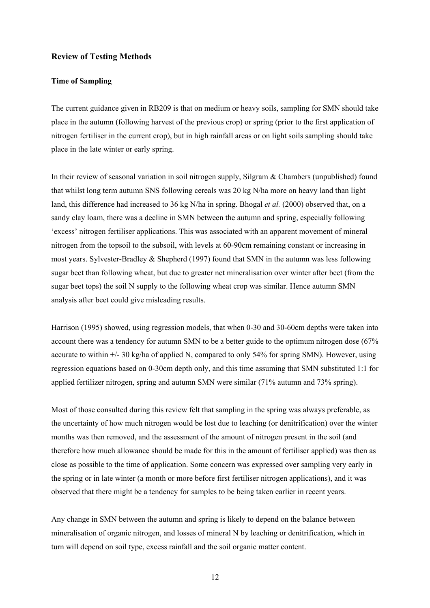#### **Review of Testing Methods**

#### **Time of Sampling**

The current guidance given in RB209 is that on medium or heavy soils, sampling for SMN should take place in the autumn (following harvest of the previous crop) or spring (prior to the first application of nitrogen fertiliser in the current crop), but in high rainfall areas or on light soils sampling should take place in the late winter or early spring.

In their review of seasonal variation in soil nitrogen supply, Silgram & Chambers (unpublished) found that whilst long term autumn SNS following cereals was 20 kg N/ha more on heavy land than light land, this difference had increased to 36 kg N/ha in spring. Bhogal *et al.* (2000) observed that, on a sandy clay loam, there was a decline in SMN between the autumn and spring, especially following 'excess' nitrogen fertiliser applications. This was associated with an apparent movement of mineral nitrogen from the topsoil to the subsoil, with levels at 60-90cm remaining constant or increasing in most years. Sylvester-Bradley & Shepherd (1997) found that SMN in the autumn was less following sugar beet than following wheat, but due to greater net mineralisation over winter after beet (from the sugar beet tops) the soil N supply to the following wheat crop was similar. Hence autumn SMN analysis after beet could give misleading results.

Harrison (1995) showed, using regression models, that when 0-30 and 30-60cm depths were taken into account there was a tendency for autumn SMN to be a better guide to the optimum nitrogen dose (67% accurate to within  $\pm$ /- 30 kg/ha of applied N, compared to only 54% for spring SMN). However, using regression equations based on 0-30cm depth only, and this time assuming that SMN substituted 1:1 for applied fertilizer nitrogen, spring and autumn SMN were similar (71% autumn and 73% spring).

Most of those consulted during this review felt that sampling in the spring was always preferable, as the uncertainty of how much nitrogen would be lost due to leaching (or denitrification) over the winter months was then removed, and the assessment of the amount of nitrogen present in the soil (and therefore how much allowance should be made for this in the amount of fertiliser applied) was then as close as possible to the time of application. Some concern was expressed over sampling very early in the spring or in late winter (a month or more before first fertiliser nitrogen applications), and it was observed that there might be a tendency for samples to be being taken earlier in recent years.

Any change in SMN between the autumn and spring is likely to depend on the balance between mineralisation of organic nitrogen, and losses of mineral N by leaching or denitrification, which in turn will depend on soil type, excess rainfall and the soil organic matter content.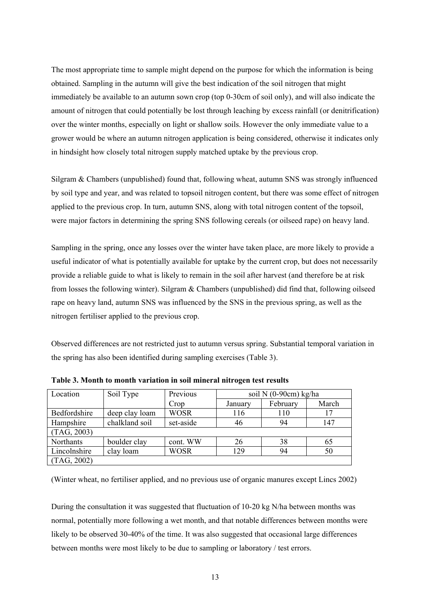The most appropriate time to sample might depend on the purpose for which the information is being obtained. Sampling in the autumn will give the best indication of the soil nitrogen that might immediately be available to an autumn sown crop (top 0-30cm of soil only), and will also indicate the amount of nitrogen that could potentially be lost through leaching by excess rainfall (or denitrification) over the winter months, especially on light or shallow soils. However the only immediate value to a grower would be where an autumn nitrogen application is being considered, otherwise it indicates only in hindsight how closely total nitrogen supply matched uptake by the previous crop.

Silgram & Chambers (unpublished) found that, following wheat, autumn SNS was strongly influenced by soil type and year, and was related to topsoil nitrogen content, but there was some effect of nitrogen applied to the previous crop. In turn, autumn SNS, along with total nitrogen content of the topsoil, were major factors in determining the spring SNS following cereals (or oilseed rape) on heavy land.

Sampling in the spring, once any losses over the winter have taken place, are more likely to provide a useful indicator of what is potentially available for uptake by the current crop, but does not necessarily provide a reliable guide to what is likely to remain in the soil after harvest (and therefore be at risk from losses the following winter). Silgram & Chambers (unpublished) did find that, following oilseed rape on heavy land, autumn SNS was influenced by the SNS in the previous spring, as well as the nitrogen fertiliser applied to the previous crop.

Observed differences are not restricted just to autumn versus spring. Substantial temporal variation in the spring has also been identified during sampling exercises (Table 3).

| Location     | Soil Type      | Previous    | soil N $(0-90cm)$ kg/ha |          |       |
|--------------|----------------|-------------|-------------------------|----------|-------|
|              |                | Crop        | January                 | February | March |
| Bedfordshire | deep clay loam | <b>WOSR</b> | 116                     | 110      | 17    |
| Hampshire    | chalkland soil | set-aside   | 46                      | 94       | 147   |
| (TAG, 2003)  |                |             |                         |          |       |
| Northants    | boulder clay   | cont. WW    | 26                      | 38       | 65    |
| Lincolnshire | clay loam      | <b>WOSR</b> | 129                     | 94       | 50    |
| (TAG, 2002)  |                |             |                         |          |       |

**Table 3. Month to month variation in soil mineral nitrogen test results**

(Winter wheat, no fertiliser applied, and no previous use of organic manures except Lincs 2002)

During the consultation it was suggested that fluctuation of 10-20 kg N/ha between months was normal, potentially more following a wet month, and that notable differences between months were likely to be observed 30-40% of the time. It was also suggested that occasional large differences between months were most likely to be due to sampling or laboratory / test errors.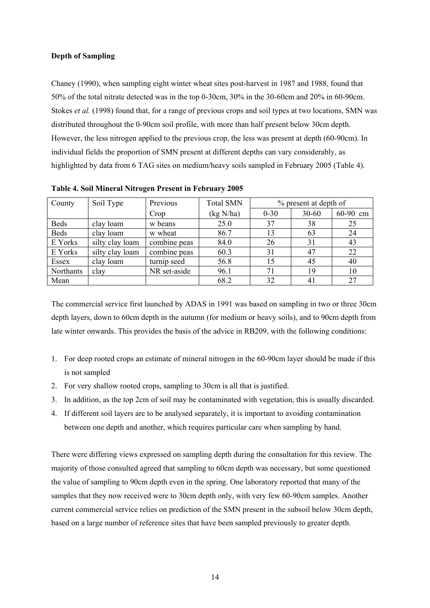#### **Depth of Sampling**

Chaney (1990), when sampling eight winter wheat sites post-harvest in 1987 and 1988, found that 50% of the total nitrate detected was in the top 0-30cm, 30% in the 30-60cm and 20% in 60-90cm. Stokes *et al.* (1998) found that, for a range of previous crops and soil types at two locations, SMN was distributed throughout the 0-90cm soil profile, with more than half present below 30cm depth. However, the less nitrogen applied to the previous crop, the less was present at depth (60-90cm). In individual fields the proportion of SMN present at different depths can vary considerably, as highlighted by data from 6 TAG sites on medium/heavy soils sampled in February 2005 (Table 4).

| County      | Soil Type       | Previous     | <b>Total SMN</b> | % present at depth of |           |          |
|-------------|-----------------|--------------|------------------|-----------------------|-----------|----------|
|             |                 | Crop         | (kg N/ha)        | $0 - 30$              | $30 - 60$ | 60-90 cm |
| <b>Beds</b> | clay loam       | w beans      | 25.0             | 37                    | 38        | 25       |
| <b>Beds</b> | clay loam       | w wheat      | 86.7             | 13                    | 63        | 24       |
| E Yorks     | silty clay loam | combine peas | 84.0             | 26                    | 31        | 43       |
| E Yorks     | silty clay loam | combine peas | 60.3             | 31                    | 47        | 22       |
| Essex       | clay loam       | turnip seed  | 56.8             | 15                    | 45        | 40       |
| Northants   | clay            | NR set-aside | 96.1             | 71                    | 19        | 10       |
| Mean        |                 |              | 68.2             | 32                    | 41        | 27       |

**Table 4. Soil Mineral Nitrogen Present in February 2005** 

The commercial service first launched by ADAS in 1991 was based on sampling in two or three 30cm depth layers, down to 60cm depth in the autumn (for medium or heavy soils), and to 90cm depth from late winter onwards. This provides the basis of the advice in RB209, with the following conditions:

- 1. For deep rooted crops an estimate of mineral nitrogen in the 60-90cm layer should be made if this is not sampled
- 2. For very shallow rooted crops, sampling to 30cm is all that is justified.
- 3. In addition, as the top 2cm of soil may be contaminated with vegetation, this is usually discarded.
- 4. If different soil layers are to be analysed separately, it is important to avoiding contamination between one depth and another, which requires particular care when sampling by hand.

There were differing views expressed on sampling depth during the consultation for this review. The majority of those consulted agreed that sampling to 60cm depth was necessary, but some questioned the value of sampling to 90cm depth even in the spring. One laboratory reported that many of the samples that they now received were to 30cm depth only, with very few 60-90cm samples. Another current commercial service relies on prediction of the SMN present in the subsoil below 30cm depth, based on a large number of reference sites that have been sampled previously to greater depth.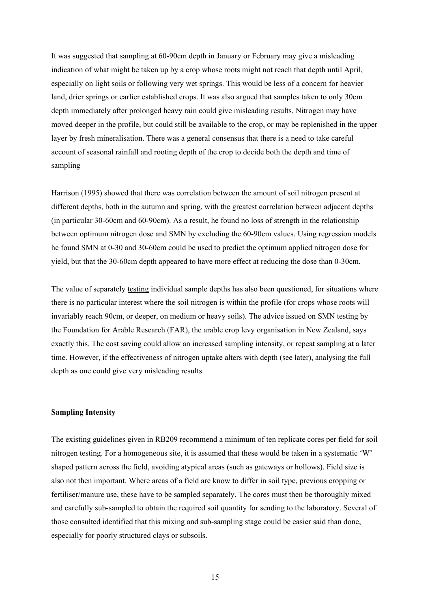It was suggested that sampling at 60-90cm depth in January or February may give a misleading indication of what might be taken up by a crop whose roots might not reach that depth until April, especially on light soils or following very wet springs. This would be less of a concern for heavier land, drier springs or earlier established crops. It was also argued that samples taken to only 30cm depth immediately after prolonged heavy rain could give misleading results. Nitrogen may have moved deeper in the profile, but could still be available to the crop, or may be replenished in the upper layer by fresh mineralisation. There was a general consensus that there is a need to take careful account of seasonal rainfall and rooting depth of the crop to decide both the depth and time of sampling

Harrison (1995) showed that there was correlation between the amount of soil nitrogen present at different depths, both in the autumn and spring, with the greatest correlation between adjacent depths (in particular 30-60cm and 60-90cm). As a result, he found no loss of strength in the relationship between optimum nitrogen dose and SMN by excluding the 60-90cm values. Using regression models he found SMN at 0-30 and 30-60cm could be used to predict the optimum applied nitrogen dose for yield, but that the 30-60cm depth appeared to have more effect at reducing the dose than 0-30cm.

The value of separately testing individual sample depths has also been questioned, for situations where there is no particular interest where the soil nitrogen is within the profile (for crops whose roots will invariably reach 90cm, or deeper, on medium or heavy soils). The advice issued on SMN testing by the Foundation for Arable Research (FAR), the arable crop levy organisation in New Zealand, says exactly this. The cost saving could allow an increased sampling intensity, or repeat sampling at a later time. However, if the effectiveness of nitrogen uptake alters with depth (see later), analysing the full depth as one could give very misleading results.

#### **Sampling Intensity**

The existing guidelines given in RB209 recommend a minimum of ten replicate cores per field for soil nitrogen testing. For a homogeneous site, it is assumed that these would be taken in a systematic 'W' shaped pattern across the field, avoiding atypical areas (such as gateways or hollows). Field size is also not then important. Where areas of a field are know to differ in soil type, previous cropping or fertiliser/manure use, these have to be sampled separately. The cores must then be thoroughly mixed and carefully sub-sampled to obtain the required soil quantity for sending to the laboratory. Several of those consulted identified that this mixing and sub-sampling stage could be easier said than done, especially for poorly structured clays or subsoils.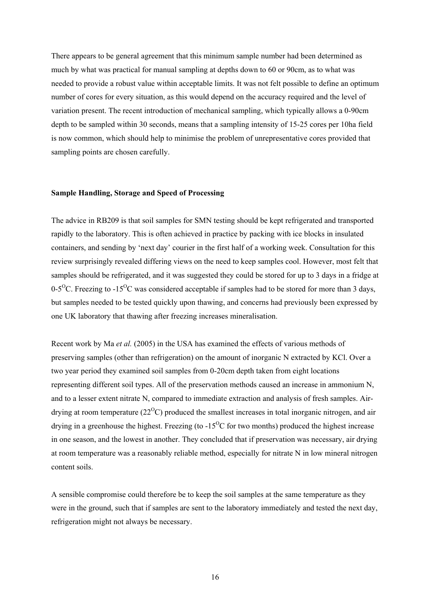There appears to be general agreement that this minimum sample number had been determined as much by what was practical for manual sampling at depths down to 60 or 90cm, as to what was needed to provide a robust value within acceptable limits. It was not felt possible to define an optimum number of cores for every situation, as this would depend on the accuracy required and the level of variation present. The recent introduction of mechanical sampling, which typically allows a 0-90cm depth to be sampled within 30 seconds, means that a sampling intensity of 15-25 cores per 10ha field is now common, which should help to minimise the problem of unrepresentative cores provided that sampling points are chosen carefully.

#### **Sample Handling, Storage and Speed of Processing**

The advice in RB209 is that soil samples for SMN testing should be kept refrigerated and transported rapidly to the laboratory. This is often achieved in practice by packing with ice blocks in insulated containers, and sending by 'next day' courier in the first half of a working week. Consultation for this review surprisingly revealed differing views on the need to keep samples cool. However, most felt that samples should be refrigerated, and it was suggested they could be stored for up to 3 days in a fridge at 0-5<sup>o</sup>C. Freezing to -15<sup>o</sup>C was considered acceptable if samples had to be stored for more than 3 days, but samples needed to be tested quickly upon thawing, and concerns had previously been expressed by one UK laboratory that thawing after freezing increases mineralisation.

Recent work by Ma *et al.* (2005) in the USA has examined the effects of various methods of preserving samples (other than refrigeration) on the amount of inorganic N extracted by KCl. Over a two year period they examined soil samples from 0-20cm depth taken from eight locations representing different soil types. All of the preservation methods caused an increase in ammonium N, and to a lesser extent nitrate N, compared to immediate extraction and analysis of fresh samples. Airdrying at room temperature  $(22^{\circ}C)$  produced the smallest increases in total inorganic nitrogen, and air drying in a greenhouse the highest. Freezing (to  $-15\degree$ C for two months) produced the highest increase in one season, and the lowest in another. They concluded that if preservation was necessary, air drying at room temperature was a reasonably reliable method, especially for nitrate N in low mineral nitrogen content soils.

A sensible compromise could therefore be to keep the soil samples at the same temperature as they were in the ground, such that if samples are sent to the laboratory immediately and tested the next day, refrigeration might not always be necessary.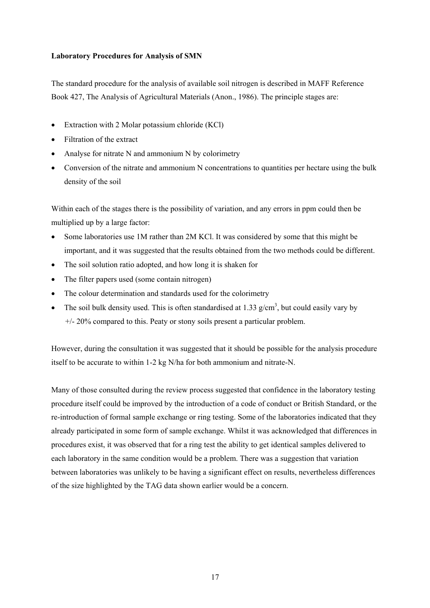#### **Laboratory Procedures for Analysis of SMN**

The standard procedure for the analysis of available soil nitrogen is described in MAFF Reference Book 427, The Analysis of Agricultural Materials (Anon., 1986). The principle stages are:

- Extraction with 2 Molar potassium chloride (KCl)
- Filtration of the extract
- Analyse for nitrate N and ammonium N by colorimetry
- Conversion of the nitrate and ammonium N concentrations to quantities per hectare using the bulk density of the soil

Within each of the stages there is the possibility of variation, and any errors in ppm could then be multiplied up by a large factor:

- Some laboratories use 1M rather than 2M KCl. It was considered by some that this might be important, and it was suggested that the results obtained from the two methods could be different.
- The soil solution ratio adopted, and how long it is shaken for
- The filter papers used (some contain nitrogen)
- The colour determination and standards used for the colorimetry
- The soil bulk density used. This is often standardised at 1.33  $g/cm<sup>3</sup>$ , but could easily vary by +/- 20% compared to this. Peaty or stony soils present a particular problem.

However, during the consultation it was suggested that it should be possible for the analysis procedure itself to be accurate to within 1-2 kg N/ha for both ammonium and nitrate-N.

Many of those consulted during the review process suggested that confidence in the laboratory testing procedure itself could be improved by the introduction of a code of conduct or British Standard, or the re-introduction of formal sample exchange or ring testing. Some of the laboratories indicated that they already participated in some form of sample exchange. Whilst it was acknowledged that differences in procedures exist, it was observed that for a ring test the ability to get identical samples delivered to each laboratory in the same condition would be a problem. There was a suggestion that variation between laboratories was unlikely to be having a significant effect on results, nevertheless differences of the size highlighted by the TAG data shown earlier would be a concern.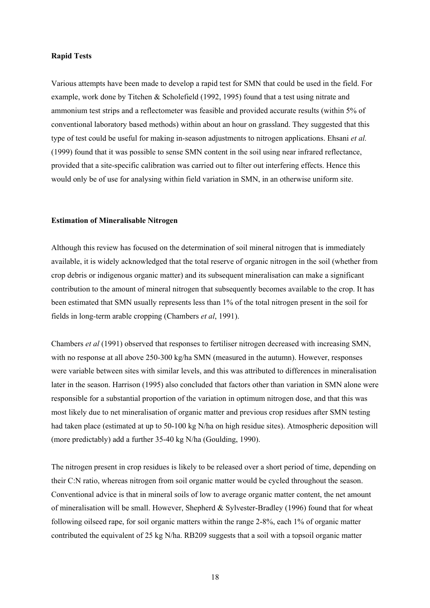#### **Rapid Tests**

Various attempts have been made to develop a rapid test for SMN that could be used in the field. For example, work done by Titchen & Scholefield (1992, 1995) found that a test using nitrate and ammonium test strips and a reflectometer was feasible and provided accurate results (within 5% of conventional laboratory based methods) within about an hour on grassland. They suggested that this type of test could be useful for making in-season adjustments to nitrogen applications. Ehsani *et al.* (1999) found that it was possible to sense SMN content in the soil using near infrared reflectance, provided that a site-specific calibration was carried out to filter out interfering effects. Hence this would only be of use for analysing within field variation in SMN, in an otherwise uniform site.

#### **Estimation of Mineralisable Nitrogen**

Although this review has focused on the determination of soil mineral nitrogen that is immediately available, it is widely acknowledged that the total reserve of organic nitrogen in the soil (whether from crop debris or indigenous organic matter) and its subsequent mineralisation can make a significant contribution to the amount of mineral nitrogen that subsequently becomes available to the crop. It has been estimated that SMN usually represents less than 1% of the total nitrogen present in the soil for fields in long-term arable cropping (Chambers *et al*, 1991).

Chambers *et al* (1991) observed that responses to fertiliser nitrogen decreased with increasing SMN, with no response at all above 250-300 kg/ha SMN (measured in the autumn). However, responses were variable between sites with similar levels, and this was attributed to differences in mineralisation later in the season. Harrison (1995) also concluded that factors other than variation in SMN alone were responsible for a substantial proportion of the variation in optimum nitrogen dose, and that this was most likely due to net mineralisation of organic matter and previous crop residues after SMN testing had taken place (estimated at up to 50-100 kg N/ha on high residue sites). Atmospheric deposition will (more predictably) add a further 35-40 kg N/ha (Goulding, 1990).

The nitrogen present in crop residues is likely to be released over a short period of time, depending on their C:N ratio, whereas nitrogen from soil organic matter would be cycled throughout the season. Conventional advice is that in mineral soils of low to average organic matter content, the net amount of mineralisation will be small. However, Shepherd & Sylvester-Bradley (1996) found that for wheat following oilseed rape, for soil organic matters within the range 2-8%, each 1% of organic matter contributed the equivalent of 25 kg N/ha. RB209 suggests that a soil with a topsoil organic matter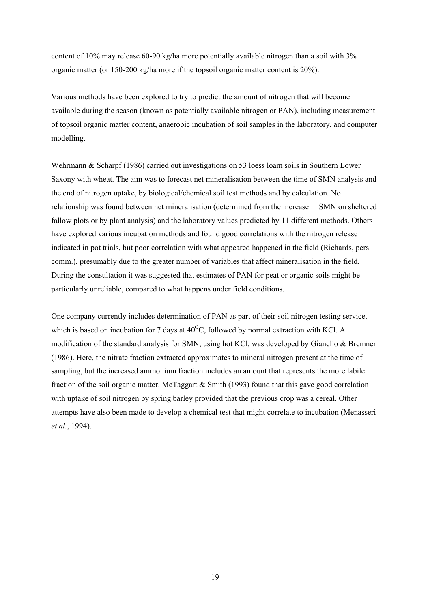content of 10% may release 60-90 kg/ha more potentially available nitrogen than a soil with 3% organic matter (or 150-200 kg/ha more if the topsoil organic matter content is 20%).

Various methods have been explored to try to predict the amount of nitrogen that will become available during the season (known as potentially available nitrogen or PAN), including measurement of topsoil organic matter content, anaerobic incubation of soil samples in the laboratory, and computer modelling.

Wehrmann & Scharpf (1986) carried out investigations on 53 loess loam soils in Southern Lower Saxony with wheat. The aim was to forecast net mineralisation between the time of SMN analysis and the end of nitrogen uptake, by biological/chemical soil test methods and by calculation. No relationship was found between net mineralisation (determined from the increase in SMN on sheltered fallow plots or by plant analysis) and the laboratory values predicted by 11 different methods. Others have explored various incubation methods and found good correlations with the nitrogen release indicated in pot trials, but poor correlation with what appeared happened in the field (Richards, pers comm.), presumably due to the greater number of variables that affect mineralisation in the field. During the consultation it was suggested that estimates of PAN for peat or organic soils might be particularly unreliable, compared to what happens under field conditions.

One company currently includes determination of PAN as part of their soil nitrogen testing service, which is based on incubation for 7 days at  $40^{\circ}$ C, followed by normal extraction with KCl. A modification of the standard analysis for SMN, using hot KCl, was developed by Gianello & Bremner (1986). Here, the nitrate fraction extracted approximates to mineral nitrogen present at the time of sampling, but the increased ammonium fraction includes an amount that represents the more labile fraction of the soil organic matter. McTaggart & Smith (1993) found that this gave good correlation with uptake of soil nitrogen by spring barley provided that the previous crop was a cereal. Other attempts have also been made to develop a chemical test that might correlate to incubation (Menasseri *et al.*, 1994).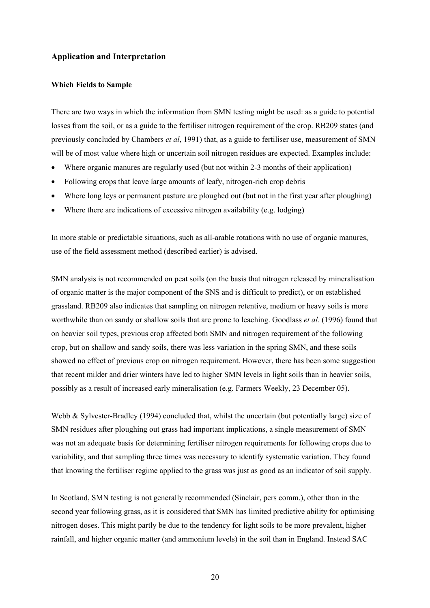#### **Application and Interpretation**

#### **Which Fields to Sample**

There are two ways in which the information from SMN testing might be used: as a guide to potential losses from the soil, or as a guide to the fertiliser nitrogen requirement of the crop. RB209 states (and previously concluded by Chambers *et al*, 1991) that, as a guide to fertiliser use, measurement of SMN will be of most value where high or uncertain soil nitrogen residues are expected. Examples include:

- Where organic manures are regularly used (but not within 2-3 months of their application)
- Following crops that leave large amounts of leafy, nitrogen-rich crop debris
- Where long leys or permanent pasture are ploughed out (but not in the first year after ploughing)
- Where there are indications of excessive nitrogen availability (e.g. lodging)

In more stable or predictable situations, such as all-arable rotations with no use of organic manures, use of the field assessment method (described earlier) is advised.

SMN analysis is not recommended on peat soils (on the basis that nitrogen released by mineralisation of organic matter is the major component of the SNS and is difficult to predict), or on established grassland. RB209 also indicates that sampling on nitrogen retentive, medium or heavy soils is more worthwhile than on sandy or shallow soils that are prone to leaching. Goodlass *et al.* (1996) found that on heavier soil types, previous crop affected both SMN and nitrogen requirement of the following crop, but on shallow and sandy soils, there was less variation in the spring SMN, and these soils showed no effect of previous crop on nitrogen requirement. However, there has been some suggestion that recent milder and drier winters have led to higher SMN levels in light soils than in heavier soils, possibly as a result of increased early mineralisation (e.g. Farmers Weekly, 23 December 05).

Webb & Sylvester-Bradley (1994) concluded that, whilst the uncertain (but potentially large) size of SMN residues after ploughing out grass had important implications, a single measurement of SMN was not an adequate basis for determining fertiliser nitrogen requirements for following crops due to variability, and that sampling three times was necessary to identify systematic variation. They found that knowing the fertiliser regime applied to the grass was just as good as an indicator of soil supply.

In Scotland, SMN testing is not generally recommended (Sinclair, pers comm.), other than in the second year following grass, as it is considered that SMN has limited predictive ability for optimising nitrogen doses. This might partly be due to the tendency for light soils to be more prevalent, higher rainfall, and higher organic matter (and ammonium levels) in the soil than in England. Instead SAC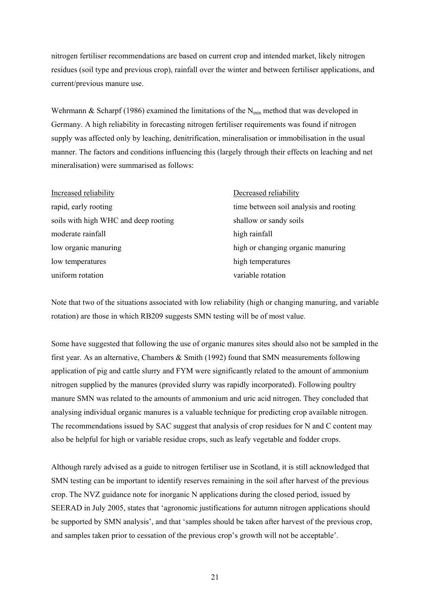nitrogen fertiliser recommendations are based on current crop and intended market, likely nitrogen residues (soil type and previous crop), rainfall over the winter and between fertiliser applications, and current/previous manure use.

Wehrmann & Scharpf (1986) examined the limitations of the  $N_{\text{min}}$  method that was developed in Germany. A high reliability in forecasting nitrogen fertiliser requirements was found if nitrogen supply was affected only by leaching, denitrification, mineralisation or immobilisation in the usual manner. The factors and conditions influencing this (largely through their effects on leaching and net mineralisation) were summarised as follows:

| Increased reliability                | Decreased reliability                  |
|--------------------------------------|----------------------------------------|
| rapid, early rooting                 | time between soil analysis and rooting |
| soils with high WHC and deep rooting | shallow or sandy soils                 |
| moderate rainfall                    | high rainfall                          |
| low organic manuring                 | high or changing organic manuring      |
| low temperatures                     | high temperatures                      |
| uniform rotation                     | variable rotation                      |

Note that two of the situations associated with low reliability (high or changing manuring, and variable rotation) are those in which RB209 suggests SMN testing will be of most value.

Some have suggested that following the use of organic manures sites should also not be sampled in the first year. As an alternative, Chambers & Smith (1992) found that SMN measurements following application of pig and cattle slurry and FYM were significantly related to the amount of ammonium nitrogen supplied by the manures (provided slurry was rapidly incorporated). Following poultry manure SMN was related to the amounts of ammonium and uric acid nitrogen. They concluded that analysing individual organic manures is a valuable technique for predicting crop available nitrogen. The recommendations issued by SAC suggest that analysis of crop residues for N and C content may also be helpful for high or variable residue crops, such as leafy vegetable and fodder crops.

Although rarely advised as a guide to nitrogen fertiliser use in Scotland, it is still acknowledged that SMN testing can be important to identify reserves remaining in the soil after harvest of the previous crop. The NVZ guidance note for inorganic N applications during the closed period, issued by SEERAD in July 2005, states that 'agronomic justifications for autumn nitrogen applications should be supported by SMN analysis', and that 'samples should be taken after harvest of the previous crop, and samples taken prior to cessation of the previous crop's growth will not be acceptable'.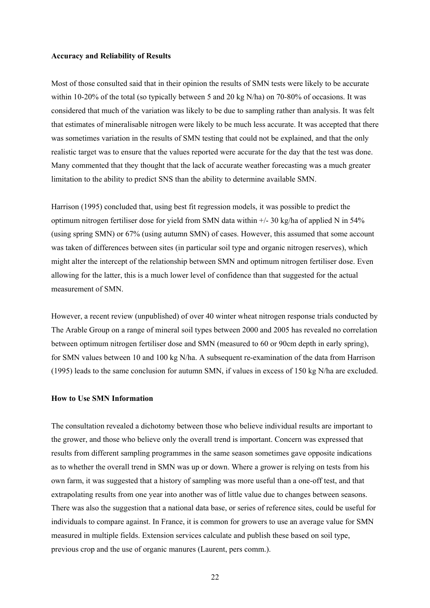#### **Accuracy and Reliability of Results**

Most of those consulted said that in their opinion the results of SMN tests were likely to be accurate within 10-20% of the total (so typically between 5 and 20 kg N/ha) on 70-80% of occasions. It was considered that much of the variation was likely to be due to sampling rather than analysis. It was felt that estimates of mineralisable nitrogen were likely to be much less accurate. It was accepted that there was sometimes variation in the results of SMN testing that could not be explained, and that the only realistic target was to ensure that the values reported were accurate for the day that the test was done. Many commented that they thought that the lack of accurate weather forecasting was a much greater limitation to the ability to predict SNS than the ability to determine available SMN.

Harrison (1995) concluded that, using best fit regression models, it was possible to predict the optimum nitrogen fertiliser dose for yield from SMN data within +/- 30 kg/ha of applied N in 54% (using spring SMN) or 67% (using autumn SMN) of cases. However, this assumed that some account was taken of differences between sites (in particular soil type and organic nitrogen reserves), which might alter the intercept of the relationship between SMN and optimum nitrogen fertiliser dose. Even allowing for the latter, this is a much lower level of confidence than that suggested for the actual measurement of SMN.

However, a recent review (unpublished) of over 40 winter wheat nitrogen response trials conducted by The Arable Group on a range of mineral soil types between 2000 and 2005 has revealed no correlation between optimum nitrogen fertiliser dose and SMN (measured to 60 or 90cm depth in early spring), for SMN values between 10 and 100 kg N/ha. A subsequent re-examination of the data from Harrison (1995) leads to the same conclusion for autumn SMN, if values in excess of 150 kg N/ha are excluded.

#### **How to Use SMN Information**

The consultation revealed a dichotomy between those who believe individual results are important to the grower, and those who believe only the overall trend is important. Concern was expressed that results from different sampling programmes in the same season sometimes gave opposite indications as to whether the overall trend in SMN was up or down. Where a grower is relying on tests from his own farm, it was suggested that a history of sampling was more useful than a one-off test, and that extrapolating results from one year into another was of little value due to changes between seasons. There was also the suggestion that a national data base, or series of reference sites, could be useful for individuals to compare against. In France, it is common for growers to use an average value for SMN measured in multiple fields. Extension services calculate and publish these based on soil type, previous crop and the use of organic manures (Laurent, pers comm.).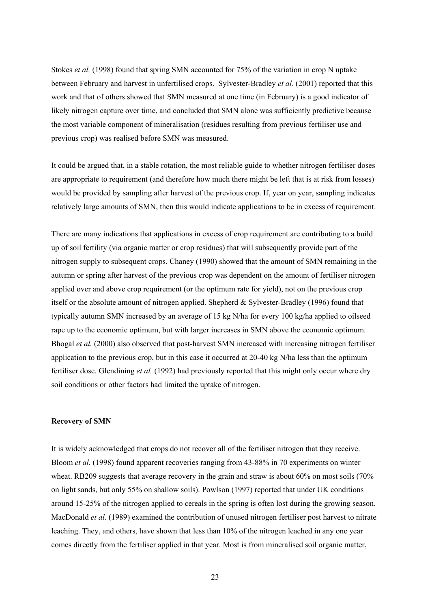Stokes *et al.* (1998) found that spring SMN accounted for 75% of the variation in crop N uptake between February and harvest in unfertilised crops. Sylvester-Bradley *et al.* (2001) reported that this work and that of others showed that SMN measured at one time (in February) is a good indicator of likely nitrogen capture over time, and concluded that SMN alone was sufficiently predictive because the most variable component of mineralisation (residues resulting from previous fertiliser use and previous crop) was realised before SMN was measured.

It could be argued that, in a stable rotation, the most reliable guide to whether nitrogen fertiliser doses are appropriate to requirement (and therefore how much there might be left that is at risk from losses) would be provided by sampling after harvest of the previous crop. If, year on year, sampling indicates relatively large amounts of SMN, then this would indicate applications to be in excess of requirement.

There are many indications that applications in excess of crop requirement are contributing to a build up of soil fertility (via organic matter or crop residues) that will subsequently provide part of the nitrogen supply to subsequent crops. Chaney (1990) showed that the amount of SMN remaining in the autumn or spring after harvest of the previous crop was dependent on the amount of fertiliser nitrogen applied over and above crop requirement (or the optimum rate for yield), not on the previous crop itself or the absolute amount of nitrogen applied. Shepherd & Sylvester-Bradley (1996) found that typically autumn SMN increased by an average of 15 kg N/ha for every 100 kg/ha applied to oilseed rape up to the economic optimum, but with larger increases in SMN above the economic optimum. Bhogal *et al.* (2000) also observed that post-harvest SMN increased with increasing nitrogen fertiliser application to the previous crop, but in this case it occurred at 20-40 kg N/ha less than the optimum fertiliser dose. Glendining *et al.* (1992) had previously reported that this might only occur where dry soil conditions or other factors had limited the uptake of nitrogen.

#### **Recovery of SMN**

It is widely acknowledged that crops do not recover all of the fertiliser nitrogen that they receive. Bloom *et al.* (1998) found apparent recoveries ranging from 43-88% in 70 experiments on winter wheat. RB209 suggests that average recovery in the grain and straw is about 60% on most soils (70%) on light sands, but only 55% on shallow soils). Powlson (1997) reported that under UK conditions around 15-25% of the nitrogen applied to cereals in the spring is often lost during the growing season. MacDonald *et al.* (1989) examined the contribution of unused nitrogen fertiliser post harvest to nitrate leaching. They, and others, have shown that less than 10% of the nitrogen leached in any one year comes directly from the fertiliser applied in that year. Most is from mineralised soil organic matter,

23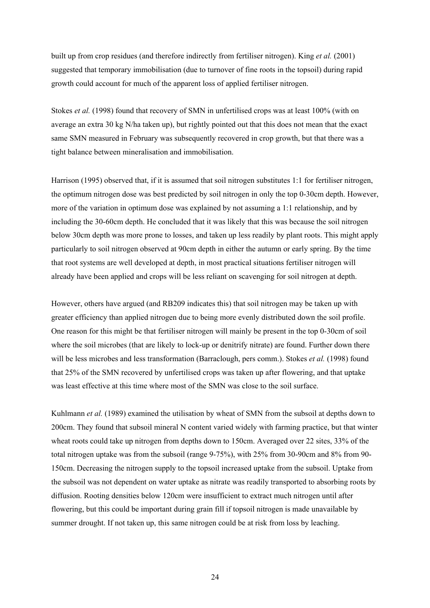built up from crop residues (and therefore indirectly from fertiliser nitrogen). King *et al.* (2001) suggested that temporary immobilisation (due to turnover of fine roots in the topsoil) during rapid growth could account for much of the apparent loss of applied fertiliser nitrogen.

Stokes *et al.* (1998) found that recovery of SMN in unfertilised crops was at least 100% (with on average an extra 30 kg N/ha taken up), but rightly pointed out that this does not mean that the exact same SMN measured in February was subsequently recovered in crop growth, but that there was a tight balance between mineralisation and immobilisation.

Harrison (1995) observed that, if it is assumed that soil nitrogen substitutes 1:1 for fertiliser nitrogen, the optimum nitrogen dose was best predicted by soil nitrogen in only the top 0-30cm depth. However, more of the variation in optimum dose was explained by not assuming a 1:1 relationship, and by including the 30-60cm depth. He concluded that it was likely that this was because the soil nitrogen below 30cm depth was more prone to losses, and taken up less readily by plant roots. This might apply particularly to soil nitrogen observed at 90cm depth in either the autumn or early spring. By the time that root systems are well developed at depth, in most practical situations fertiliser nitrogen will already have been applied and crops will be less reliant on scavenging for soil nitrogen at depth.

However, others have argued (and RB209 indicates this) that soil nitrogen may be taken up with greater efficiency than applied nitrogen due to being more evenly distributed down the soil profile. One reason for this might be that fertiliser nitrogen will mainly be present in the top 0-30cm of soil where the soil microbes (that are likely to lock-up or denitrify nitrate) are found. Further down there will be less microbes and less transformation (Barraclough, pers comm.). Stokes *et al.* (1998) found that 25% of the SMN recovered by unfertilised crops was taken up after flowering, and that uptake was least effective at this time where most of the SMN was close to the soil surface.

Kuhlmann *et al.* (1989) examined the utilisation by wheat of SMN from the subsoil at depths down to 200cm. They found that subsoil mineral N content varied widely with farming practice, but that winter wheat roots could take up nitrogen from depths down to 150cm. Averaged over 22 sites, 33% of the total nitrogen uptake was from the subsoil (range 9-75%), with 25% from 30-90cm and 8% from 90- 150cm. Decreasing the nitrogen supply to the topsoil increased uptake from the subsoil. Uptake from the subsoil was not dependent on water uptake as nitrate was readily transported to absorbing roots by diffusion. Rooting densities below 120cm were insufficient to extract much nitrogen until after flowering, but this could be important during grain fill if topsoil nitrogen is made unavailable by summer drought. If not taken up, this same nitrogen could be at risk from loss by leaching.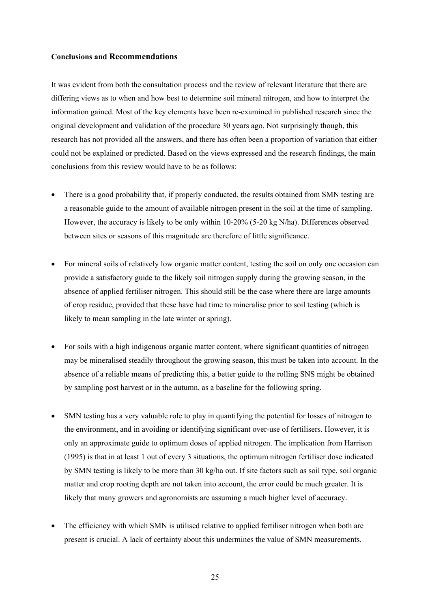#### **Conclusions and Recommendations**

It was evident from both the consultation process and the review of relevant literature that there are differing views as to when and how best to determine soil mineral nitrogen, and how to interpret the information gained. Most of the key elements have been re-examined in published research since the original development and validation of the procedure 30 years ago. Not surprisingly though, this research has not provided all the answers, and there has often been a proportion of variation that either could not be explained or predicted. Based on the views expressed and the research findings, the main conclusions from this review would have to be as follows:

- There is a good probability that, if properly conducted, the results obtained from SMN testing are a reasonable guide to the amount of available nitrogen present in the soil at the time of sampling. However, the accuracy is likely to be only within 10-20% (5-20 kg N/ha). Differences observed between sites or seasons of this magnitude are therefore of little significance.
- For mineral soils of relatively low organic matter content, testing the soil on only one occasion can provide a satisfactory guide to the likely soil nitrogen supply during the growing season, in the absence of applied fertiliser nitrogen. This should still be the case where there are large amounts of crop residue, provided that these have had time to mineralise prior to soil testing (which is likely to mean sampling in the late winter or spring).
- For soils with a high indigenous organic matter content, where significant quantities of nitrogen may be mineralised steadily throughout the growing season, this must be taken into account. In the absence of a reliable means of predicting this, a better guide to the rolling SNS might be obtained by sampling post harvest or in the autumn, as a baseline for the following spring.
- SMN testing has a very valuable role to play in quantifying the potential for losses of nitrogen to the environment, and in avoiding or identifying significant over-use of fertilisers. However, it is only an approximate guide to optimum doses of applied nitrogen. The implication from Harrison (1995) is that in at least 1 out of every 3 situations, the optimum nitrogen fertiliser dose indicated by SMN testing is likely to be more than 30 kg/ha out. If site factors such as soil type, soil organic matter and crop rooting depth are not taken into account, the error could be much greater. It is likely that many growers and agronomists are assuming a much higher level of accuracy.
- The efficiency with which SMN is utilised relative to applied fertiliser nitrogen when both are present is crucial. A lack of certainty about this undermines the value of SMN measurements.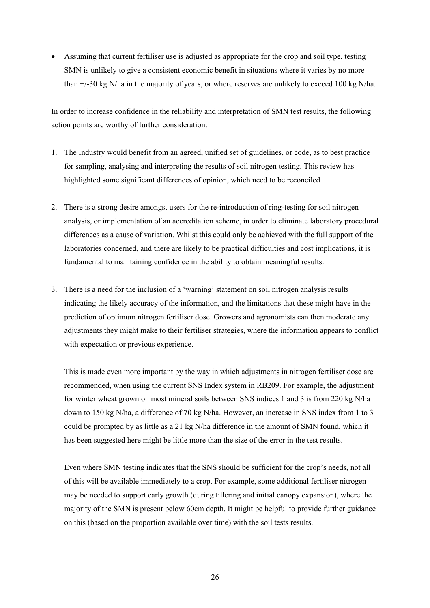• Assuming that current fertiliser use is adjusted as appropriate for the crop and soil type, testing SMN is unlikely to give a consistent economic benefit in situations where it varies by no more than +/-30 kg N/ha in the majority of years, or where reserves are unlikely to exceed 100 kg N/ha.

In order to increase confidence in the reliability and interpretation of SMN test results, the following action points are worthy of further consideration:

- 1. The Industry would benefit from an agreed, unified set of guidelines, or code, as to best practice for sampling, analysing and interpreting the results of soil nitrogen testing. This review has highlighted some significant differences of opinion, which need to be reconciled
- 2. There is a strong desire amongst users for the re-introduction of ring-testing for soil nitrogen analysis, or implementation of an accreditation scheme, in order to eliminate laboratory procedural differences as a cause of variation. Whilst this could only be achieved with the full support of the laboratories concerned, and there are likely to be practical difficulties and cost implications, it is fundamental to maintaining confidence in the ability to obtain meaningful results.
- 3. There is a need for the inclusion of a 'warning' statement on soil nitrogen analysis results indicating the likely accuracy of the information, and the limitations that these might have in the prediction of optimum nitrogen fertiliser dose. Growers and agronomists can then moderate any adjustments they might make to their fertiliser strategies, where the information appears to conflict with expectation or previous experience.

This is made even more important by the way in which adjustments in nitrogen fertiliser dose are recommended, when using the current SNS Index system in RB209. For example, the adjustment for winter wheat grown on most mineral soils between SNS indices 1 and 3 is from 220 kg N/ha down to 150 kg N/ha, a difference of 70 kg N/ha. However, an increase in SNS index from 1 to 3 could be prompted by as little as a 21 kg N/ha difference in the amount of SMN found, which it has been suggested here might be little more than the size of the error in the test results.

Even where SMN testing indicates that the SNS should be sufficient for the crop's needs, not all of this will be available immediately to a crop. For example, some additional fertiliser nitrogen may be needed to support early growth (during tillering and initial canopy expansion), where the majority of the SMN is present below 60cm depth. It might be helpful to provide further guidance on this (based on the proportion available over time) with the soil tests results.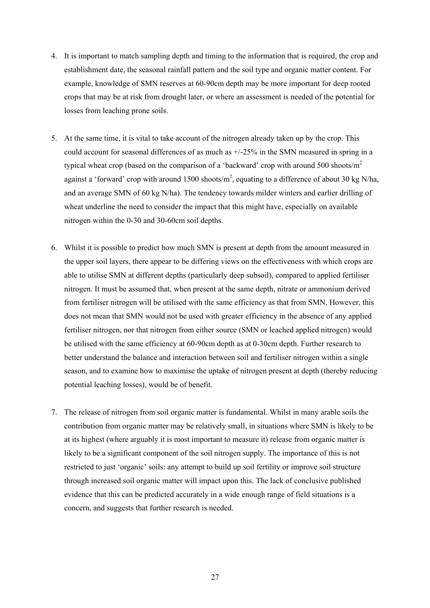- 4. It is important to match sampling depth and timing to the information that is required, the crop and establishment date, the seasonal rainfall pattern and the soil type and organic matter content. For example, knowledge of SMN reserves at 60-90cm depth may be more important for deep rooted crops that may be at risk from drought later, or where an assessment is needed of the potential for losses from leaching prone soils.
- 5. At the same time, it is vital to take account of the nitrogen already taken up by the crop. This could account for seasonal differences of as much as +/-25% in the SMN measured in spring in a typical wheat crop (based on the comparison of a 'backward' crop with around 500 shoots/ $m<sup>2</sup>$ against a 'forward' crop with around 1500 shoots/ $m^2$ , equating to a difference of about 30 kg N/ha, and an average SMN of 60 kg N/ha). The tendency towards milder winters and earlier drilling of wheat underline the need to consider the impact that this might have, especially on available nitrogen within the 0-30 and 30-60cm soil depths.
- 6. Whilst it is possible to predict how much SMN is present at depth from the amount measured in the upper soil layers, there appear to be differing views on the effectiveness with which crops are able to utilise SMN at different depths (particularly deep subsoil), compared to applied fertiliser nitrogen. It must be assumed that, when present at the same depth, nitrate or ammonium derived from fertiliser nitrogen will be utilised with the same efficiency as that from SMN. However, this does not mean that SMN would not be used with greater efficiency in the absence of any applied fertiliser nitrogen, nor that nitrogen from either source (SMN or leached applied nitrogen) would be utilised with the same efficiency at 60-90cm depth as at 0-30cm depth. Further research to better understand the balance and interaction between soil and fertiliser nitrogen within a single season, and to examine how to maximise the uptake of nitrogen present at depth (thereby reducing potential leaching losses), would be of benefit.
- 7. The release of nitrogen from soil organic matter is fundamental. Whilst in many arable soils the contribution from organic matter may be relatively small, in situations where SMN is likely to be at its highest (where arguably it is most important to measure it) release from organic matter is likely to be a significant component of the soil nitrogen supply. The importance of this is not restricted to just 'organic' soils: any attempt to build up soil fertility or improve soil structure through increased soil organic matter will impact upon this. The lack of conclusive published evidence that this can be predicted accurately in a wide enough range of field situations is a concern, and suggests that further research is needed.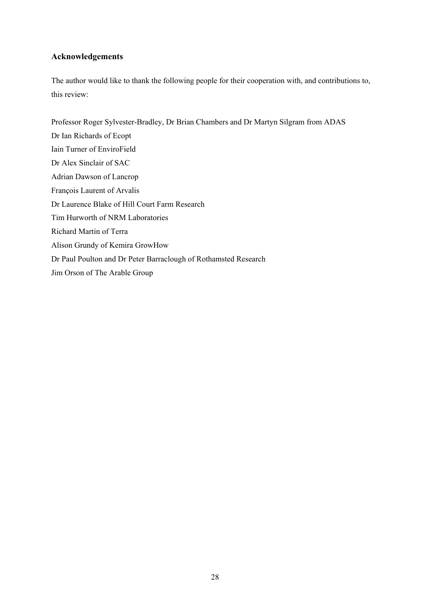# **Acknowledgements**

The author would like to thank the following people for their cooperation with, and contributions to, this review:

Professor Roger Sylvester-Bradley, Dr Brian Chambers and Dr Martyn Silgram from ADAS Dr Ian Richards of Ecopt Iain Turner of EnviroField Dr Alex Sinclair of SAC Adrian Dawson of Lancrop François Laurent of Arvalis Dr Laurence Blake of Hill Court Farm Research Tim Hurworth of NRM Laboratories Richard Martin of Terra Alison Grundy of Kemira GrowHow Dr Paul Poulton and Dr Peter Barraclough of Rothamsted Research Jim Orson of The Arable Group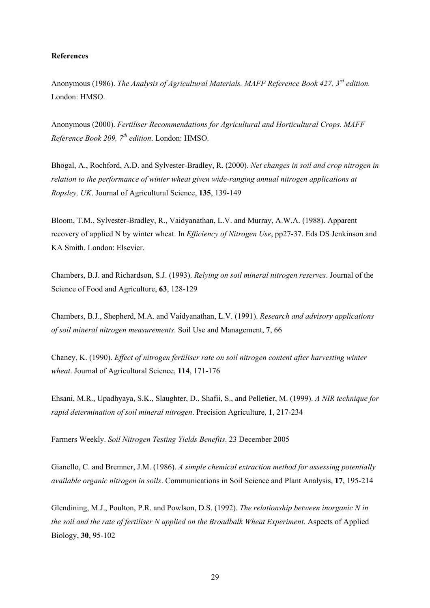#### **References**

Anonymous (1986). *The Analysis of Agricultural Materials. MAFF Reference Book 427, 3rd edition.* London: HMSO.

Anonymous (2000). *Fertiliser Recommendations for Agricultural and Horticultural Crops. MAFF Reference Book 209, 7th edition*. London: HMSO.

Bhogal, A., Rochford, A.D. and Sylvester-Bradley, R. (2000). *Net changes in soil and crop nitrogen in relation to the performance of winter wheat given wide-ranging annual nitrogen applications at Ropsley, UK*. Journal of Agricultural Science, **135**, 139-149

Bloom, T.M., Sylvester-Bradley, R., Vaidyanathan, L.V. and Murray, A.W.A. (1988). Apparent recovery of applied N by winter wheat. In *Efficiency of Nitrogen Use*, pp27-37. Eds DS Jenkinson and KA Smith. London: Elsevier.

Chambers, B.J. and Richardson, S.J. (1993). *Relying on soil mineral nitrogen reserves*. Journal of the Science of Food and Agriculture, **63**, 128-129

Chambers, B.J., Shepherd, M.A. and Vaidyanathan, L.V. (1991). *Research and advisory applications of soil mineral nitrogen measurements*. Soil Use and Management, **7**, 66

Chaney, K. (1990). *Effect of nitrogen fertiliser rate on soil nitrogen content after harvesting winter wheat*. Journal of Agricultural Science, **114**, 171-176

Ehsani, M.R., Upadhyaya, S.K., Slaughter, D., Shafii, S., and Pelletier, M. (1999). *A NIR technique for rapid determination of soil mineral nitrogen*. Precision Agriculture, **1**, 217-234

Farmers Weekly. *Soil Nitrogen Testing Yields Benefits*. 23 December 2005

Gianello, C. and Bremner, J.M. (1986). *A simple chemical extraction method for assessing potentially available organic nitrogen in soils*. Communications in Soil Science and Plant Analysis, **17**, 195-214

Glendining, M.J., Poulton, P.R. and Powlson, D.S. (1992). *The relationship between inorganic N in the soil and the rate of fertiliser N applied on the Broadbalk Wheat Experiment*. Aspects of Applied Biology, **30**, 95-102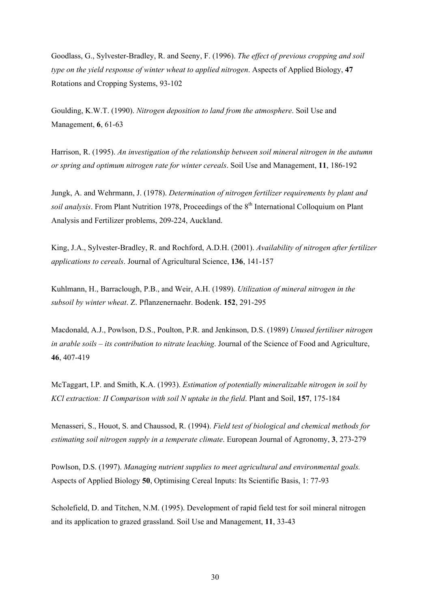Goodlass, G., Sylvester-Bradley, R. and Seeny, F. (1996). *The effect of previous cropping and soil type on the yield response of winter wheat to applied nitrogen*. Aspects of Applied Biology, **47**  Rotations and Cropping Systems, 93-102

Goulding, K.W.T. (1990). *Nitrogen deposition to land from the atmosphere*. Soil Use and Management, **6**, 61-63

Harrison, R. (1995). *An investigation of the relationship between soil mineral nitrogen in the autumn or spring and optimum nitrogen rate for winter cereals*. Soil Use and Management, **11**, 186-192

Jungk, A. and Wehrmann, J. (1978). *Determination of nitrogen fertilizer requirements by plant and soil analysis*. From Plant Nutrition 1978, Proceedings of the 8<sup>th</sup> International Colloquium on Plant Analysis and Fertilizer problems, 209-224, Auckland.

King, J.A., Sylvester-Bradley, R. and Rochford, A.D.H. (2001). *Availability of nitrogen after fertilizer applications to cereals*. Journal of Agricultural Science, **136**, 141-157

Kuhlmann, H., Barraclough, P.B., and Weir, A.H. (1989). *Utilization of mineral nitrogen in the subsoil by winter wheat*. Z. Pflanzenernaehr. Bodenk. **152**, 291-295

Macdonald, A.J., Powlson, D.S., Poulton, P.R. and Jenkinson, D.S. (1989) *Unused fertiliser nitrogen in arable soils – its contribution to nitrate leaching*. Journal of the Science of Food and Agriculture, **46**, 407-419

McTaggart, I.P. and Smith, K.A. (1993). *Estimation of potentially mineralizable nitrogen in soil by KCl extraction: II Comparison with soil N uptake in the field*. Plant and Soil, **157**, 175-184

Menasseri, S., Houot, S. and Chaussod, R. (1994). *Field test of biological and chemical methods for estimating soil nitrogen supply in a temperate climate*. European Journal of Agronomy, **3**, 273-279

Powlson, D.S. (1997). *Managing nutrient supplies to meet agricultural and environmental goals.*  Aspects of Applied Biology **50**, Optimising Cereal Inputs: Its Scientific Basis, 1: 77-93

Scholefield, D. and Titchen, N.M. (1995). Development of rapid field test for soil mineral nitrogen and its application to grazed grassland. Soil Use and Management, **11**, 33-43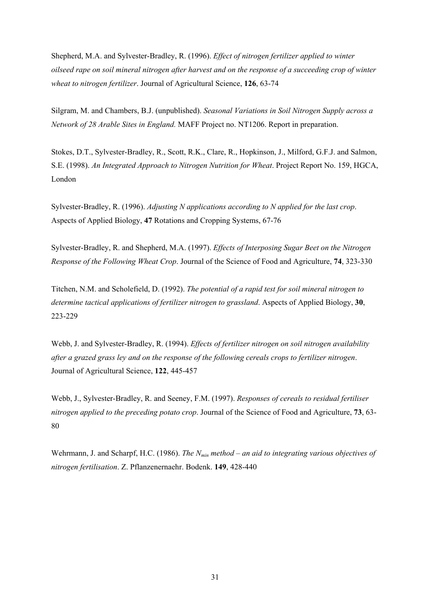Shepherd, M.A. and Sylvester-Bradley, R. (1996). *Effect of nitrogen fertilizer applied to winter oilseed rape on soil mineral nitrogen after harvest and on the response of a succeeding crop of winter wheat to nitrogen fertilizer*. Journal of Agricultural Science, **126**, 63-74

Silgram, M. and Chambers, B.J. (unpublished). *Seasonal Variations in Soil Nitrogen Supply across a Network of 28 Arable Sites in England.* MAFF Project no. NT1206. Report in preparation.

Stokes, D.T., Sylvester-Bradley, R., Scott, R.K., Clare, R., Hopkinson, J., Milford, G.F.J. and Salmon, S.E. (1998). *An Integrated Approach to Nitrogen Nutrition for Wheat*. Project Report No. 159, HGCA, London

Sylvester-Bradley, R. (1996). *Adjusting N applications according to N applied for the last crop*. Aspects of Applied Biology, **47** Rotations and Cropping Systems, 67-76

Sylvester-Bradley, R. and Shepherd, M.A. (1997). *Effects of Interposing Sugar Beet on the Nitrogen Response of the Following Wheat Crop*. Journal of the Science of Food and Agriculture, **74**, 323-330

Titchen, N.M. and Scholefield, D. (1992). *The potential of a rapid test for soil mineral nitrogen to determine tactical applications of fertilizer nitrogen to grassland*. Aspects of Applied Biology, **30**, 223-229

Webb, J. and Sylvester-Bradley, R. (1994). *Effects of fertilizer nitrogen on soil nitrogen availability after a grazed grass ley and on the response of the following cereals crops to fertilizer nitrogen*. Journal of Agricultural Science, **122**, 445-457

Webb, J., Sylvester-Bradley, R. and Seeney, F.M. (1997). *Responses of cereals to residual fertiliser nitrogen applied to the preceding potato crop*. Journal of the Science of Food and Agriculture, **73**, 63- 80

Wehrmann, J. and Scharpf, H.C. (1986). *The N<sub>min</sub> method – an aid to integrating various objectives of nitrogen fertilisation*. Z. Pflanzenernaehr. Bodenk. **149**, 428-440